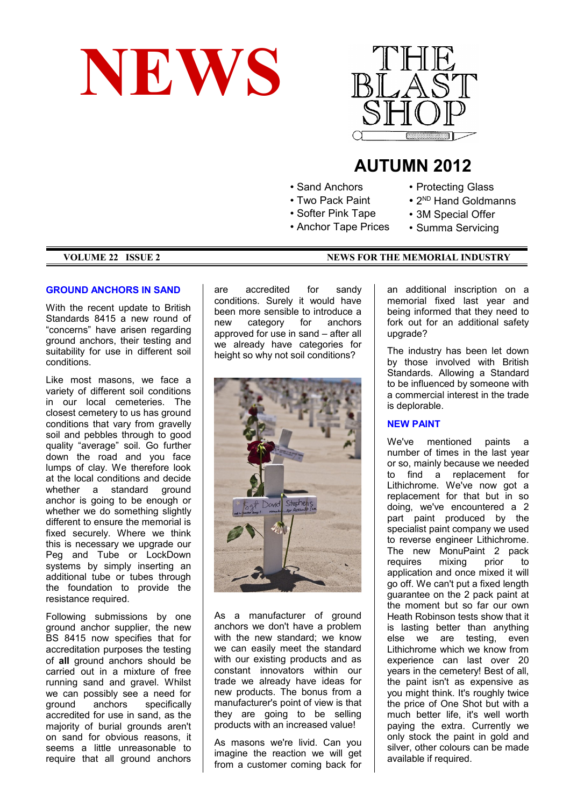



# **AUTUMN 2012**

- Sand Anchors
- Two Pack Paint
- Softer Pink Tape
- Anchor Tape Prices
- Protecting Glass
- 2<sup>ND</sup> Hand Goldmanns
- 3M Special Offer
- 
- Summa Servicing

#### **VOLUME 22 ISSUE 2** NEWS FOR THE MEMORIAL INDUSTRY

# **GROUND ANCHORS IN SAND**

With the recent update to British Standards 8415 a new round of "concerns" have arisen regarding ground anchors, their testing and suitability for use in different soil conditions.

Like most masons, we face a variety of different soil conditions in our local cemeteries. The closest cemetery to us has ground conditions that vary from gravelly soil and pebbles through to good quality "average" soil. Go further down the road and you face lumps of clay. We therefore look at the local conditions and decide whether a standard ground anchor is going to be enough or whether we do something slightly different to ensure the memorial is fixed securely. Where we think this is necessary we upgrade our Peg and Tube or LockDown systems by simply inserting an additional tube or tubes through the foundation to provide the resistance required.

Following submissions by one ground anchor supplier, the new BS 8415 now specifies that for accreditation purposes the testing of **all** ground anchors should be carried out in a mixture of free running sand and gravel. Whilst we can possibly see a need for ground anchors specifically accredited for use in sand, as the majority of burial grounds aren't on sand for obvious reasons, it seems a little unreasonable to require that all ground anchors

are accredited for sandy conditions. Surely it would have been more sensible to introduce a new category for anchors approved for use in sand – after all we already have categories for height so why not soil conditions?



As a manufacturer of ground anchors we don't have a problem with the new standard; we know we can easily meet the standard with our existing products and as constant innovators within our trade we already have ideas for new products. The bonus from a manufacturer's point of view is that they are going to be selling products with an increased value!

As masons we're livid. Can you imagine the reaction we will get from a customer coming back for an additional inscription on a memorial fixed last year and being informed that they need to fork out for an additional safety upgrade?

The industry has been let down by those involved with British Standards. Allowing a Standard to be influenced by someone with a commercial interest in the trade is deplorable.

# **NEW PAINT**

We've mentioned paints a number of times in the last year or so, mainly because we needed to find a replacement for Lithichrome. We've now got a replacement for that but in so doing, we've encountered a 2 part paint produced by the specialist paint company we used to reverse engineer Lithichrome. The new MonuPaint 2 pack requires mixing prior to application and once mixed it will go off. We can't put a fixed length guarantee on the 2 pack paint at the moment but so far our own Heath Robinson tests show that it is lasting better than anything else we are testing, even Lithichrome which we know from experience can last over 20 years in the cemetery! Best of all, the paint isn't as expensive as you might think. It's roughly twice the price of One Shot but with a much better life, it's well worth paying the extra. Currently we only stock the paint in gold and silver, other colours can be made available if required.